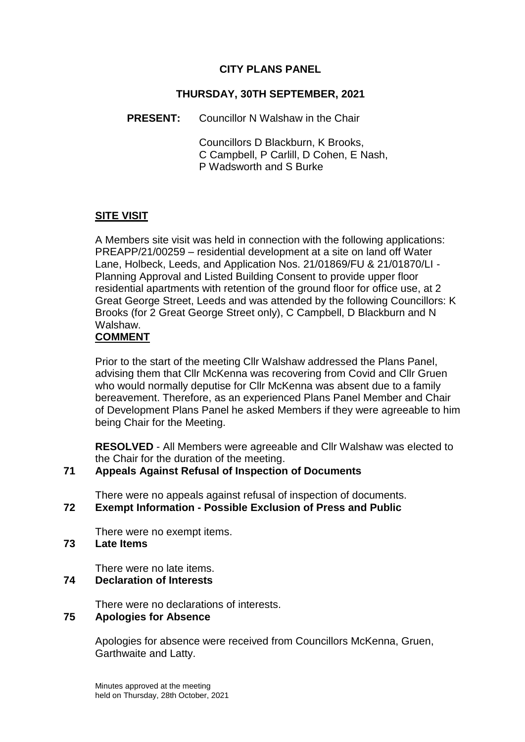# **CITY PLANS PANEL**

## **THURSDAY, 30TH SEPTEMBER, 2021**

**PRESENT:** Councillor N Walshaw in the Chair

Councillors D Blackburn, K Brooks, C Campbell, P Carlill, D Cohen, E Nash, P Wadsworth and S Burke

# **SITE VISIT**

A Members site visit was held in connection with the following applications: PREAPP/21/00259 – residential development at a site on land off Water Lane, Holbeck, Leeds, and Application Nos. 21/01869/FU & 21/01870/LI - Planning Approval and Listed Building Consent to provide upper floor residential apartments with retention of the ground floor for office use, at 2 Great George Street, Leeds and was attended by the following Councillors: K Brooks (for 2 Great George Street only), C Campbell, D Blackburn and N Walshaw.

# **COMMENT**

Prior to the start of the meeting Cllr Walshaw addressed the Plans Panel, advising them that Cllr McKenna was recovering from Covid and Cllr Gruen who would normally deputise for Cllr McKenna was absent due to a family bereavement. Therefore, as an experienced Plans Panel Member and Chair of Development Plans Panel he asked Members if they were agreeable to him being Chair for the Meeting.

**RESOLVED** - All Members were agreeable and Cllr Walshaw was elected to the Chair for the duration of the meeting.

## **71 Appeals Against Refusal of Inspection of Documents**

There were no appeals against refusal of inspection of documents. **72 Exempt Information - Possible Exclusion of Press and Public**

There were no exempt items.

## **73 Late Items**

There were no late items.

## **74 Declaration of Interests**

There were no declarations of interests.

#### **75 Apologies for Absence**

Apologies for absence were received from Councillors McKenna, Gruen, Garthwaite and Latty.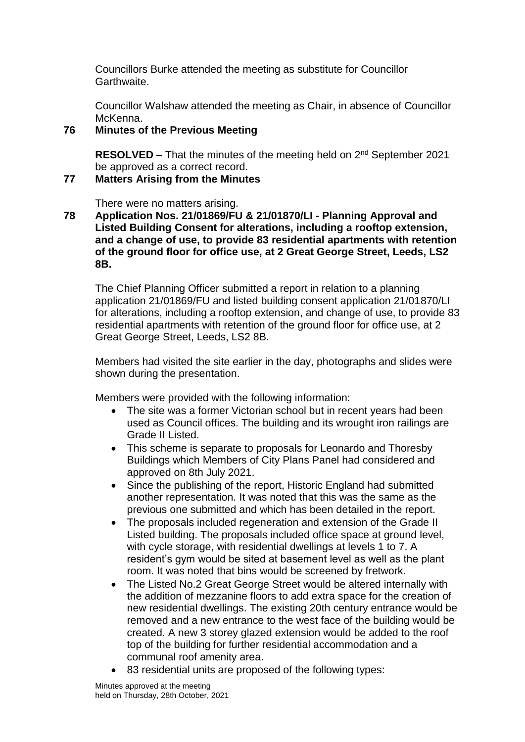Councillors Burke attended the meeting as substitute for Councillor Garthwaite.

Councillor Walshaw attended the meeting as Chair, in absence of Councillor McKenna.

# **76 Minutes of the Previous Meeting**

**RESOLVED** – That the minutes of the meeting held on 2<sup>nd</sup> September 2021 be approved as a correct record.

# **77 Matters Arising from the Minutes**

There were no matters arising.

**78 Application Nos. 21/01869/FU & 21/01870/LI - Planning Approval and Listed Building Consent for alterations, including a rooftop extension, and a change of use, to provide 83 residential apartments with retention of the ground floor for office use, at 2 Great George Street, Leeds, LS2 8B.**

The Chief Planning Officer submitted a report in relation to a planning application 21/01869/FU and listed building consent application 21/01870/LI for alterations, including a rooftop extension, and change of use, to provide 83 residential apartments with retention of the ground floor for office use, at 2 Great George Street, Leeds, LS2 8B.

Members had visited the site earlier in the day, photographs and slides were shown during the presentation.

Members were provided with the following information:

- The site was a former Victorian school but in recent years had been used as Council offices. The building and its wrought iron railings are Grade II Listed.
- This scheme is separate to proposals for Leonardo and Thoresby Buildings which Members of City Plans Panel had considered and approved on 8th July 2021.
- Since the publishing of the report, Historic England had submitted another representation. It was noted that this was the same as the previous one submitted and which has been detailed in the report.
- The proposals included regeneration and extension of the Grade II Listed building. The proposals included office space at ground level, with cycle storage, with residential dwellings at levels 1 to 7. A resident's gym would be sited at basement level as well as the plant room. It was noted that bins would be screened by fretwork.
- The Listed No.2 Great George Street would be altered internally with the addition of mezzanine floors to add extra space for the creation of new residential dwellings. The existing 20th century entrance would be removed and a new entrance to the west face of the building would be created. A new 3 storey glazed extension would be added to the roof top of the building for further residential accommodation and a communal roof amenity area.
- 83 residential units are proposed of the following types: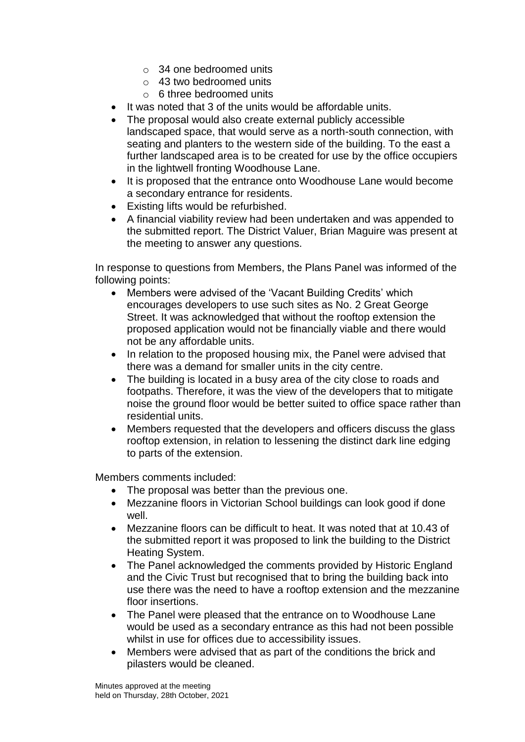- o 34 one bedroomed units
- o 43 two bedroomed units
- $\circ$  6 three bedroomed units
- It was noted that 3 of the units would be affordable units.
- The proposal would also create external publicly accessible landscaped space, that would serve as a north-south connection, with seating and planters to the western side of the building. To the east a further landscaped area is to be created for use by the office occupiers in the lightwell fronting Woodhouse Lane.
- It is proposed that the entrance onto Woodhouse Lane would become a secondary entrance for residents.
- Existing lifts would be refurbished.
- A financial viability review had been undertaken and was appended to the submitted report. The District Valuer, Brian Maguire was present at the meeting to answer any questions.

In response to questions from Members, the Plans Panel was informed of the following points:

- Members were advised of the 'Vacant Building Credits' which encourages developers to use such sites as No. 2 Great George Street. It was acknowledged that without the rooftop extension the proposed application would not be financially viable and there would not be any affordable units.
- In relation to the proposed housing mix, the Panel were advised that there was a demand for smaller units in the city centre.
- The building is located in a busy area of the city close to roads and footpaths. Therefore, it was the view of the developers that to mitigate noise the ground floor would be better suited to office space rather than residential units.
- Members requested that the developers and officers discuss the glass rooftop extension, in relation to lessening the distinct dark line edging to parts of the extension.

Members comments included:

- The proposal was better than the previous one.
- Mezzanine floors in Victorian School buildings can look good if done well.
- Mezzanine floors can be difficult to heat. It was noted that at 10.43 of the submitted report it was proposed to link the building to the District Heating System.
- The Panel acknowledged the comments provided by Historic England and the Civic Trust but recognised that to bring the building back into use there was the need to have a rooftop extension and the mezzanine floor insertions.
- The Panel were pleased that the entrance on to Woodhouse Lane would be used as a secondary entrance as this had not been possible whilst in use for offices due to accessibility issues.
- Members were advised that as part of the conditions the brick and pilasters would be cleaned.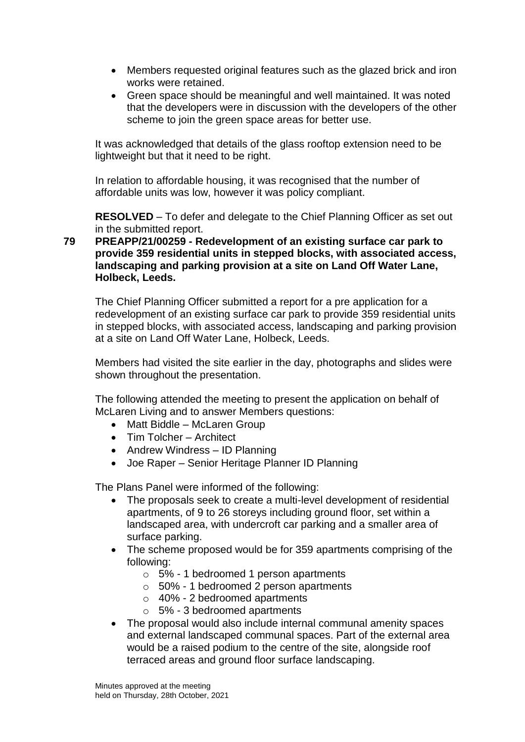- Members requested original features such as the glazed brick and iron works were retained.
- Green space should be meaningful and well maintained. It was noted that the developers were in discussion with the developers of the other scheme to join the green space areas for better use.

It was acknowledged that details of the glass rooftop extension need to be lightweight but that it need to be right.

In relation to affordable housing, it was recognised that the number of affordable units was low, however it was policy compliant.

**RESOLVED** – To defer and delegate to the Chief Planning Officer as set out in the submitted report.

#### **79 PREAPP/21/00259 - Redevelopment of an existing surface car park to provide 359 residential units in stepped blocks, with associated access, landscaping and parking provision at a site on Land Off Water Lane, Holbeck, Leeds.**

The Chief Planning Officer submitted a report for a pre application for a redevelopment of an existing surface car park to provide 359 residential units in stepped blocks, with associated access, landscaping and parking provision at a site on Land Off Water Lane, Holbeck, Leeds.

Members had visited the site earlier in the day, photographs and slides were shown throughout the presentation.

The following attended the meeting to present the application on behalf of McLaren Living and to answer Members questions:

- Matt Biddle McLaren Group
- Tim Tolcher Architect
- Andrew Windress ID Planning
- Joe Raper Senior Heritage Planner ID Planning

The Plans Panel were informed of the following:

- The proposals seek to create a multi-level development of residential apartments, of 9 to 26 storeys including ground floor, set within a landscaped area, with undercroft car parking and a smaller area of surface parking.
- The scheme proposed would be for 359 apartments comprising of the following:
	- o 5% 1 bedroomed 1 person apartments
	- o 50% 1 bedroomed 2 person apartments
	- $\circ$  40% 2 bedroomed apartments
	- $\circ$  5% 3 bedroomed apartments
- The proposal would also include internal communal amenity spaces and external landscaped communal spaces. Part of the external area would be a raised podium to the centre of the site, alongside roof terraced areas and ground floor surface landscaping.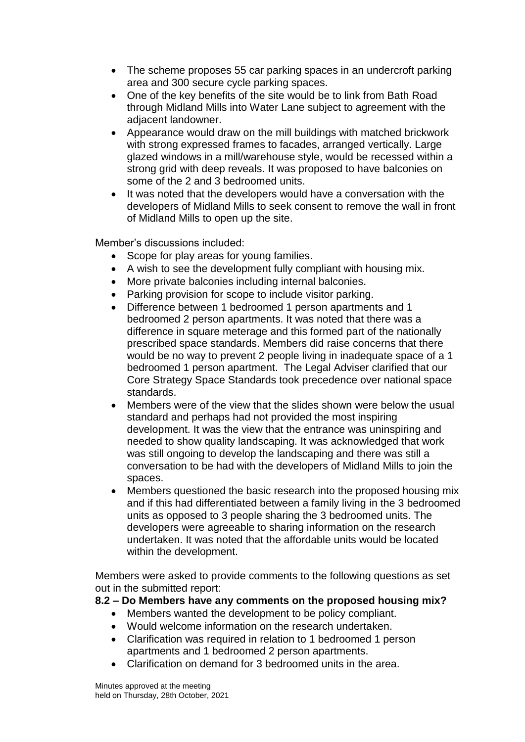- The scheme proposes 55 car parking spaces in an undercroft parking area and 300 secure cycle parking spaces.
- One of the key benefits of the site would be to link from Bath Road through Midland Mills into Water Lane subject to agreement with the adjacent landowner.
- Appearance would draw on the mill buildings with matched brickwork with strong expressed frames to facades, arranged vertically. Large glazed windows in a mill/warehouse style, would be recessed within a strong grid with deep reveals. It was proposed to have balconies on some of the 2 and 3 bedroomed units.
- It was noted that the developers would have a conversation with the developers of Midland Mills to seek consent to remove the wall in front of Midland Mills to open up the site.

Member's discussions included:

- Scope for play areas for young families.
- A wish to see the development fully compliant with housing mix.
- More private balconies including internal balconies.
- Parking provision for scope to include visitor parking.
- Difference between 1 bedroomed 1 person apartments and 1 bedroomed 2 person apartments. It was noted that there was a difference in square meterage and this formed part of the nationally prescribed space standards. Members did raise concerns that there would be no way to prevent 2 people living in inadequate space of a 1 bedroomed 1 person apartment. The Legal Adviser clarified that our Core Strategy Space Standards took precedence over national space standards.
- Members were of the view that the slides shown were below the usual standard and perhaps had not provided the most inspiring development. It was the view that the entrance was uninspiring and needed to show quality landscaping. It was acknowledged that work was still ongoing to develop the landscaping and there was still a conversation to be had with the developers of Midland Mills to join the spaces.
- Members questioned the basic research into the proposed housing mix and if this had differentiated between a family living in the 3 bedroomed units as opposed to 3 people sharing the 3 bedroomed units. The developers were agreeable to sharing information on the research undertaken. It was noted that the affordable units would be located within the development.

Members were asked to provide comments to the following questions as set out in the submitted report:

**8.2 – Do Members have any comments on the proposed housing mix?**

- Members wanted the development to be policy compliant.
- Would welcome information on the research undertaken.
- Clarification was required in relation to 1 bedroomed 1 person apartments and 1 bedroomed 2 person apartments.
- Clarification on demand for 3 bedroomed units in the area.